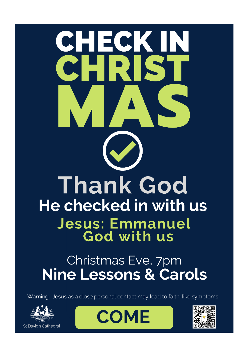# CHECKIN **Thank God** He checked in with us Jesus: Emmanuel God with us

# Christmas Eve, 7pm **Nine Lessons & Carols**

Warning: Jesus as a close personal contact may lead to faith-like symptoms





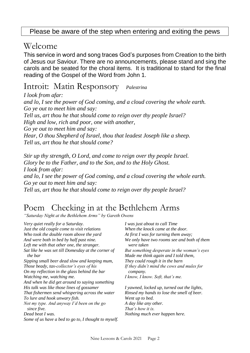#### Please be aware of the step when entering and exiting the pews

#### Welcome

This service in word and song traces God's purposes from Creation to the birth of Jesus our Saviour. There are no announcements, please stand and sing the carols and be seated for the choral items. It is traditional to stand for the final reading of the Gospel of the Word from John 1.

#### Introit: Matin Responsory *Palestrina*

*I look from afar: and lo, I see the power of God coming, and a cloud covering the whole earth. Go ye out to meet him and say: Tell us, art thou he that should come to reign over thy people Israel? High and low, rich and poor, one with another, Go ye out to meet him and say: Hear, O thou Shepherd of Israel, thou that leadest Joseph like a sheep. Tell us, art thou he that should come?*

*Stir up thy strength, O Lord, and come to reign over thy people Israel. Glory be to the Father, and to the Son, and to the Holy Ghost. I look from afar: and lo, I see the power of God coming, and a cloud covering the whole earth. Go ye out to meet him and say: Tell us, art thou he that should come to reign over thy people Israel?*

# Poem Checking in at the Bethlehem Arms

*"Saturday Night at the Bethlehem Arms" by Gareth Owens*

*Very quiet really for a Saturday. Just the old couple come to visit relations Who took the double room above the yard And were both in bed by half past nine. Left me with that other one, the stranger. Sat like he was set till Domesday at the corner of the bar Sipping small beer dead slow and keeping mum, Those beady, tax-collector's eyes of his On my reflection in the glass behind the bar Watching me, watching me. And when he did get around to saying something His talk was like those lines of gossamer That fishermen send whispering across the water To lure and hook unwary fish. Not my type. And anyway I'd been on the go since five. Dead beat I was. Some of us have a bed to go to, I thought to myself.*

*I was just about to call Time When the knock came at the door. At first I was for turning them away; We only have two rooms see and both of them were taken But something desperate in the woman's eyes Made me think again and I told them, They could rough it in the barn If they didn't mind the cows and mules for company. I know, I know. Soft, that's me. I yawned, locked up, turned out the lights, Rinsed my hands to lose the smell of beer.*

*Went up to bed. A day like any other. That's how it is. Nothing much ever happen here.*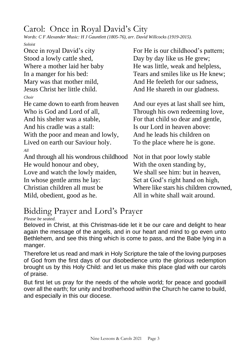# Carol: Once in Royal David's City

*Words: C F Alexander Music: H J Gauntlett (1805-76), arr. David Willcocks (1919-2015).* 

*Soloist*

Once in royal David's city Stood a lowly cattle shed, Where a mother laid her baby In a manger for his bed: Mary was that mother mild, Jesus Christ her little child. *Choir*

He came down to earth from heaven Who is God and Lord of all, And his shelter was a stable, And his cradle was a stall: With the poor and mean and lowly, Lived on earth our Saviour holy. *All* And through all his wondrous childhood

He would honour and obey,

Love and watch the lowly maiden,

In whose gentle arms he lay:

Christian children all must be Mild, obedient, good as he.

For He is our childhood's pattern; Day by day like us He grew; He was little, weak and helpless, Tears and smiles like us He knew; And He feeleth for our sadness, And He shareth in our gladness.

And our eyes at last shall see him, Through his own redeeming love, For that child so dear and gentle, Is our Lord in heaven above: And he leads his children on To the place where he is gone.

Not in that poor lowly stable With the oxen standing by, We shall see him: but in heaven, Set at God's right hand on high, Where like stars his children crowned, All in white shall wait around.

# Bidding Prayer and Lord's Prayer

*Please be seated.*

Beloved in Christ, at this Christmas-tide let it be our care and delight to hear again the message of the angels, and in our heart and mind to go even unto Bethlehem, and see this thing which is come to pass, and the Babe lying in a manger.

Therefore let us read and mark in Holy Scripture the tale of the loving purposes of God from the first days of our disobedience unto the glorious redemption brought us by this Holy Child: and let us make this place glad with our carols of praise.

But first let us pray for the needs of the whole world; for peace and goodwill over all the earth; for unity and brotherhood within the Church he came to build, and especially in this our diocese.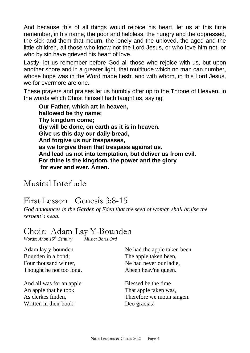And because this of all things would rejoice his heart, let us at this time remember, in his name, the poor and helpless, the hungry and the oppressed, the sick and them that mourn, the lonely and the unloved, the aged and the little children, all those who know not the Lord Jesus, or who love him not, or who by sin have grieved his heart of love.

Lastly, let us remember before God all those who rejoice with us, but upon another shore and in a greater light, that multitude which no man can number, whose hope was in the Word made flesh, and with whom, in this Lord Jesus, we for evermore are one.

These prayers and praises let us humbly offer up to the Throne of Heaven, in the words which Christ himself hath taught us, saying:

**Our Father, which art in heaven, hallowed be thy name; Thy kingdom come; thy will be done, on earth as it is in heaven. Give us this day our daily bread, And forgive us our trespasses, as we forgive them that trespass against us. And lead us not into temptation, but deliver us from evil. For thine is the kingdom, the power and the glory for ever and ever. Amen.**

#### Musical Interlude

#### First Lesson Genesis 3:8-15

*God announces in the Garden of Eden that the seed of woman shall bruise the serpent's head.*

# Choir: Adam Lay Y-Bounden<br>Words: Anon 15<sup>th</sup> Century Music: Boris Ord

*Words: Anon 15<sup>th</sup> Century* 

| Adam lay y-bounden                                                                                  | Ne had the apple taken been                                                               |
|-----------------------------------------------------------------------------------------------------|-------------------------------------------------------------------------------------------|
| Bounden in a bond;                                                                                  | The apple taken been,                                                                     |
| Four thousand winter,                                                                               | Ne had never our ladie,                                                                   |
| Thought he not too long.                                                                            | Abeen heav'ne queen.                                                                      |
| And all was for an apple<br>An apple that he took.<br>As clerkes finden,<br>Written in their book.' | Blessed be the time<br>That apple taken was,<br>Therefore we moun singen.<br>Deo gracias! |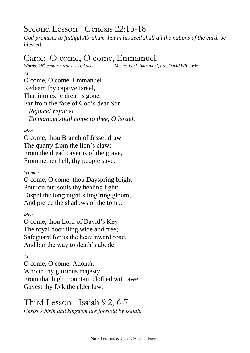#### Second Lesson Genesis 22:15-18

*God promises to faithful Abraham that in his seed shall all the nations of the earth be blessed.*

# Carol: O come, O come, Emmanuel*.*

*Music: Veni Emmanuel, arr. David Willcocks All*

O come, O come, Emmanuel Redeem thy captive Israel, That into exile drear is gone, Far from the face of God's dear Son. *Rejoice! rejoice! Emmanuel shall come to thee, O Israel.*

*Men*

O come, thou Branch of Jesse! draw The quarry from the lion's claw; From the dread caverns of the grave, From nether hell, thy people save.

*Women*

O come, O come, thou Dayspring bright! Pour on our souls thy healing light; Dispel the long night's ling'ring gloom, And pierce the shadows of the tomb.

*Men*

O come, thou Lord of David's Key! The royal door fling wide and free; Safeguard for us the heav'nward road, And bar the way to death's abode.

*All*

O come, O come, Adonaï, Who in thy glorious majesty From that high mountain clothed with awe Gavest thy folk the elder law.

Third Lesson Isaiah 9:2, 6-7 *Christ's birth and kingdom are foretold by Isaiah.*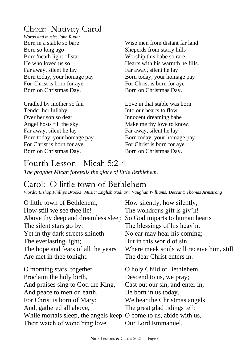#### Choir: Nativity Carol

*Words and music: John Rutter*  Born in a stable so bare Born so long ago Born 'neath light of star He who loved us so. Far away, silent he lay Born today, your homage pay For Christ is born for aye Born on Christmas Day.

Cradled by mother so fair Tender her lullaby Over her son so dear Angel hosts fill the sky. Far away, silent he lay Born today, your homage pay For Christ is born for aye Born on Christmas Day.

Wise men from distant far land Sheperds from starry hills Worship this babe so rare Hearts with his warmth he fills. Far away, silent he lay Born today, your homage pay For Christ is born for aye Born on Christmas Day.

Love in that stable was born Into our hearts to flow Innocent dreaming babe Make me thy love to know. Far away, silent he lay Born today, your homage pay For Christ is born for aye Born on Christmas Day.

# Fourth Lesson Micah 5:2-4

*The prophet Micah foretells the glory of little Bethlehem.*

#### Carol: O little town of Bethlehem

*Words: Bishop Phillips Brooks Music: English trad, arr. Vaughan Williams; Descant: Thomas Armstrong*

| O little town of Bethlehem,          | How silently, how silently,              |
|--------------------------------------|------------------------------------------|
| How still we see thee lie!           | The wondrous gift is giv'n!              |
| Above thy deep and dreamless sleep   | So God imparts to human hearts           |
| The silent stars go by:              | The blessings of his heav'n.             |
| Yet in thy dark streets shineth      | No ear may hear his coming;              |
| The everlasting light;               | But in this world of sin,                |
| The hope and fears of all the years  | Where meek souls will receive him, still |
| Are met in thee tonight.             | The dear Christ enters in.               |
| O morning stars, together            | O holy Child of Bethlehem,               |
| Proclaim the holy birth,             | Descend to us, we pray;                  |
| And praises sing to God the King,    | Cast out our sin, and enter in,          |
| And peace to men on earth.           | Be born in us today.                     |
| For Christ is born of Mary;          | We hear the Christmas angels             |
| And, gathered all above,             | The great glad tidings tell:             |
| While mortals sleep, the angels keep |                                          |
|                                      | O come to us, abide with us,             |
| Their watch of wond'ring love.       | Our Lord Emmanuel.                       |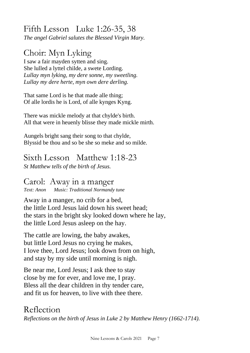# Fifth Lesson Luke 1:26-35, 38

*The angel Gabriel salutes the Blessed Virgin Mary.*

# Choir: Myn Lyking

I saw a fair mayden sytten and sing. She lulled a lyttel childe, a swete Lording. *Lullay myn lyking, my dere sonne, my sweetling. Lullay my dere herte, myn own dere derling.*

That same Lord is he that made alle thing; Of alle lordis he is Lord, of alle kynges Kyng.

There was mickle melody at that chylde's birth. All that were in heuenly blisse they made mickle mirth.

Aungels bright sang their song to that chylde, Blyssid be thou and so be she so meke and so milde.

## Sixth Lesson Matthew 1:18-23

*St Matthew tells of the birth of Jesus.*

#### Carol: Away in a manger *Text: Anon Music: Traditional Normandy tune*

Away in a manger, no crib for a bed, the little Lord Jesus laid down his sweet head; the stars in the bright sky looked down where he lay, the little Lord Jesus asleep on the hay.

The cattle are lowing, the baby awakes, but little Lord Jesus no crying he makes, I love thee, Lord Jesus; look down from on high, and stay by my side until morning is nigh.

Be near me, Lord Jesus; I ask thee to stay close by me for ever, and love me, I pray. Bless all the dear children in thy tender care, and fit us for heaven, to live with thee there.

#### Reflection *Reflections on the birth of Jesus in Luke 2 by Matthew Henry (1662-1714).*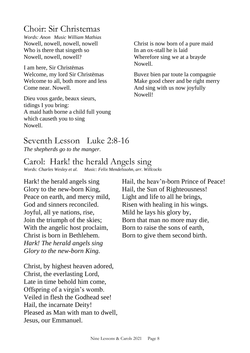#### Choir: Sir Christemas

*Words: Anon Music William Mathias* Nowell, nowell, nowell, nowell Who is there that singeth so Nowell, nowell, nowell?

I am here, Sir Christëmas Welcome, my lord Sir Christëmas Welcome to all, both more and less Come near. Nowell.

Dieu vous garde, beaux sieurs, tidings I you bring: A maid hath borne a child full young which causeth you to sing Nowell.

Christ is now born of a pure maid In an ox-stall he is laid Wherefore sing we at a brayde Nowell.

Buvez bien par toute la compagnie Make good cheer and be right merry And sing with us now joyfully Nowell!

#### Seventh Lesson Luke 2:8-16

*The shepherds go to the manger.*

# Carol: Hark! the herald Angels sing

*Words: Charles Wesley et al. Music: Felix Mendelssohn, arr. Willcocks* 

Hark! the herald angels sing Glory to the new-born King, Peace on earth, and mercy mild, God and sinners reconciled. Joyful, all ye nations, rise, Join the triumph of the skies; With the angelic host proclaim. Christ is born in Bethlehem. *Hark! The herald angels sing Glory to the new-born King.*

Christ, by highest heaven adored, Christ, the everlasting Lord, Late in time behold him come, Offspring of a virgin's womb. Veiled in flesh the Godhead see! Hail, the incarnate Deity! Pleased as Man with man to dwell, Jesus, our Emmanuel.

Hail, the heav'n-born Prince of Peace! Hail, the Sun of Righteousness! Light and life to all he brings, Risen with healing in his wings. Mild he lays his glory by, Born that man no more may die, Born to raise the sons of earth, Born to give them second birth.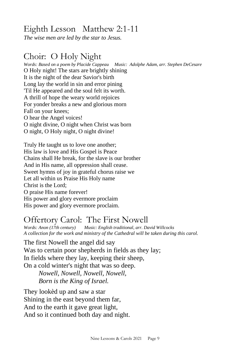#### Eighth Lesson Matthew 2:1-11

*The wise men are led by the star to Jesus.*

### Choir: O Holy Night

*Words: Based on a poem by Placide Cappeau Music: Adolphe Adam, arr. Stephen DeCesare* O Holy night! The stars are brightly shining It is the night of the dear Savior's birth Long lay the world in sin and error pining 'Til He appeared and the soul felt its worth. A thrill of hope the weary world rejoices For yonder breaks a new and glorious morn Fall on your knees; O hear the Angel voices! O night divine, O night when Christ was born O night, O Holy night, O night divine!

Truly He taught us to love one another; His law is love and His Gospel is Peace Chains shall He break, for the slave is our brother And in His name, all oppression shall cease. Sweet hymns of joy in grateful chorus raise we Let all within us Praise His Holy name Christ is the Lord; O praise His name forever! His power and glory evermore proclaim His power and glory evermore proclaim.

# Offertory Carol: The First Nowell

*Words: Anon (17th century) Music: English traditional, arr. David Willcocks A collection for the work and ministry of the Cathedral will be taken during this carol.*

The first Nowell the angel did say Was to certain poor shepherds in fields as they lay; In fields where they lay, keeping their sheep, On a cold winter's night that was so deep. *Nowell, Nowell, Nowell, Nowell, Born is the King of Israel.*

They lookèd up and saw a star Shining in the east beyond them far, And to the earth it gave great light, And so it continued both day and night.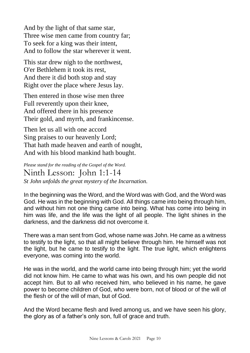And by the light of that same star, Three wise men came from country far; To seek for a king was their intent, And to follow the star wherever it went.

This star drew nigh to the northwest, O'er Bethlehem it took its rest, And there it did both stop and stay Right over the place where Jesus lay.

Then entered in those wise men three Full reverently upon their knee, And offered there in his presence Their gold, and myrrh, and frankincense.

Then let us all with one accord Sing praises to our heavenly Lord; That hath made heaven and earth of nought, And with his blood mankind hath bought.

*Please stand for the reading of the Gospel of the Word.* Ninth Lesson: John 1:1-14 *St John unfolds the great mystery of the Incarnation.*

In the beginning was the Word, and the Word was with God, and the Word was God. He was in the beginning with God. All things came into being through him, and without him not one thing came into being. What has come into being in him was life, and the life was the light of all people. The light shines in the darkness, and the darkness did not overcome it.

There was a man sent from God, whose name was John. He came as a witness to testify to the light, so that all might believe through him. He himself was not the light, but he came to testify to the light. The true light, which enlightens everyone, was coming into the world.

He was in the world, and the world came into being through him; yet the world did not know him. He came to what was his own, and his own people did not accept him. But to all who received him, who believed in his name, he gave power to become children of God, who were born, not of blood or of the will of the flesh or of the will of man, but of God.

And the Word became flesh and lived among us, and we have seen his glory, the glory as of a father's only son, full of grace and truth.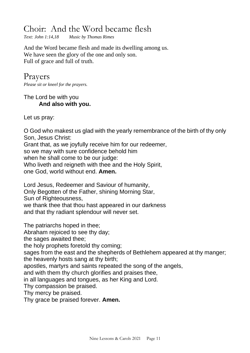## Choir: And the Word became flesh

*Text: John 1:14,18 Music by Thomas Rimes*

And the Word became flesh and made its dwelling among us. We have seen the glory of the one and only son. Full of grace and full of truth.

Prayers *Please sit or kneel for the prayers.*

The Lord be with you **And also with you.**

Let us pray:

O God who makest us glad with the yearly remembrance of the birth of thy only Son, Jesus Christ:

Grant that, as we joyfully receive him for our redeemer, so we may with sure confidence behold him when he shall come to be our judge:

Who liveth and reigneth with thee and the Holy Spirit,

one God, world without end. **Amen.**

Lord Jesus, Redeemer and Saviour of humanity,

Only Begotten of the Father, shining Morning Star,

Sun of Righteousness,

we thank thee that thou hast appeared in our darkness and that thy radiant splendour will never set.

The patriarchs hoped in thee;

Abraham rejoiced to see thy day;

the sages awaited thee;

the holy prophets foretold thy coming;

sages from the east and the shepherds of Bethlehem appeared at thy manger;

the heavenly hosts sang at thy birth;

apostles, martyrs and saints repeated the song of the angels,

and with them thy church glorifies and praises thee,

in all languages and tongues, as her King and Lord.

Thy compassion be praised.

Thy mercy be praised.

Thy grace be praised forever. **Amen.**